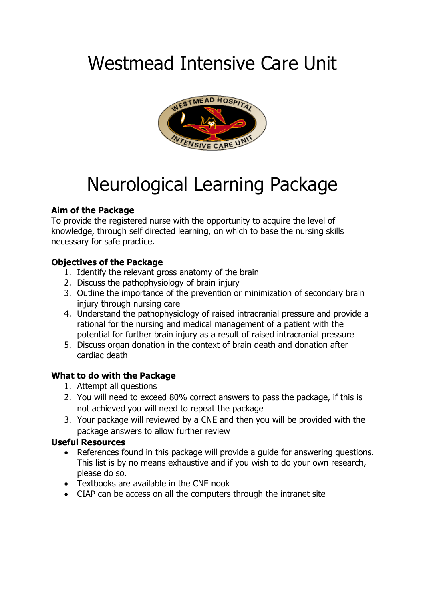# Westmead Intensive Care Unit



# Neurological Learning Package

# **Aim of the Package**

To provide the registered nurse with the opportunity to acquire the level of knowledge, through self directed learning, on which to base the nursing skills necessary for safe practice.

# **Objectives of the Package**

- 1. Identify the relevant gross anatomy of the brain
- 2. Discuss the pathophysiology of brain injury
- 3. Outline the importance of the prevention or minimization of secondary brain injury through nursing care
- 4. Understand the pathophysiology of raised intracranial pressure and provide a rational for the nursing and medical management of a patient with the potential for further brain injury as a result of raised intracranial pressure
- 5. Discuss organ donation in the context of brain death and donation after cardiac death

# **What to do with the Package**

- 1. Attempt all questions
- 2. You will need to exceed 80% correct answers to pass the package, if this is not achieved you will need to repeat the package
- 3. Your package will reviewed by a CNE and then you will be provided with the package answers to allow further review

# **Useful Resources**

- References found in this package will provide a guide for answering questions. This list is by no means exhaustive and if you wish to do your own research, please do so.
- Textbooks are available in the CNE nook
- CIAP can be access on all the computers through the intranet site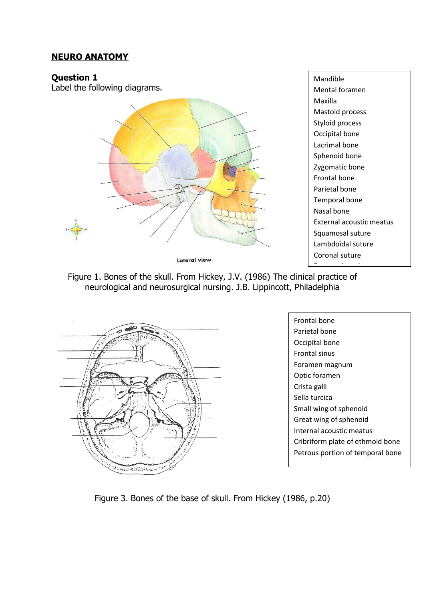## **NEURO ANATOMY**

#### **Question 1**

Label the following diagrams.



Mandible Mental foramen Maxilla Mastoid process Styloid process Occipital bone Lacrimal bone Sphenoid bone Zygomatic bone Frontal bone Parietal bone Temporal bone Nasal bone External acoustic meatus Squamosal suture Lambdoidal suture Coronal suture





Frontal bone Parietal bone Occipital bone Frontal sinus Foramen magnum Optic foramen Crista galli Sella turcica Small wing of sphenoid Great wing of sphenoid Internal acoustic meatus Cribriform plate of ethmoid bone Petrous portion of temporal bone

Figure 3. Bones of the base of skull. From Hickey (1986, p.20)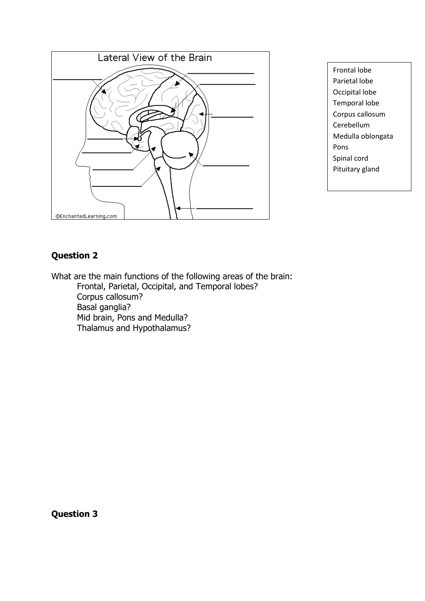

Frontal lobe Parietal lobe Occipital lobe Temporal lobe Corpus callosum Cerebellum Medulla oblongata Pons Spinal cord Pituitary gland

# **Question 2**

What are the main functions of the following areas of the brain: Frontal, Parietal, Occipital, and Temporal lobes? Corpus callosum? Basal ganglia? Mid brain, Pons and Medulla? Thalamus and Hypothalamus?

**Question 3**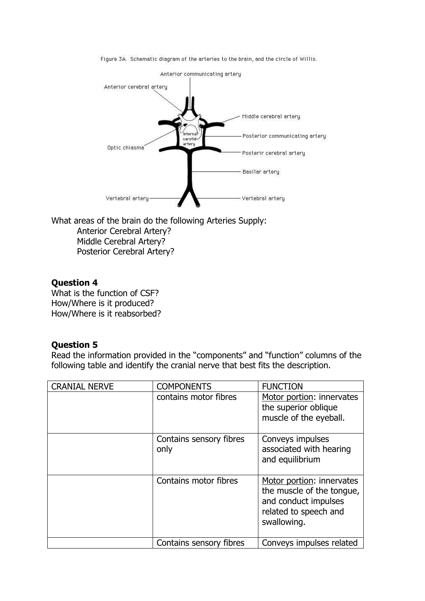Figure 3A. Schematic diagram of the arteries to the brain, and the circle of Willis.



What areas of the brain do the following Arteries Supply: Anterior Cerebral Artery? Middle Cerebral Artery? Posterior Cerebral Artery?

#### **Question 4**

What is the function of CSF? How/Where is it produced? How/Where is it reabsorbed?

#### **Question 5**

Read the information provided in the "components" and "function" columns of the following table and identify the cranial nerve that best fits the description.

| <b>CRANIAL NERVE</b> | <b>COMPONENTS</b>               | <b>FUNCTION</b>                                                                                                        |
|----------------------|---------------------------------|------------------------------------------------------------------------------------------------------------------------|
|                      | contains motor fibres           | Motor portion: innervates<br>the superior oblique<br>muscle of the eyeball.                                            |
|                      | Contains sensory fibres<br>only | Conveys impulses<br>associated with hearing<br>and equilibrium                                                         |
|                      | Contains motor fibres           | Motor portion: innervates<br>the muscle of the tongue,<br>and conduct impulses<br>related to speech and<br>swallowing. |
|                      | Contains sensory fibres         | Conveys impulses related                                                                                               |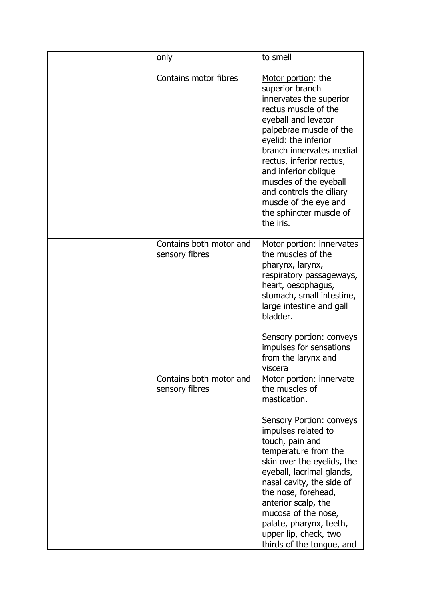| only                                      | to smell                                                                                                                                                                                                                                                                                                                                                                                                      |
|-------------------------------------------|---------------------------------------------------------------------------------------------------------------------------------------------------------------------------------------------------------------------------------------------------------------------------------------------------------------------------------------------------------------------------------------------------------------|
| Contains motor fibres                     | Motor portion: the<br>superior branch<br>innervates the superior<br>rectus muscle of the<br>eyeball and levator<br>palpebrae muscle of the<br>eyelid: the inferior<br>branch innervates medial<br>rectus, inferior rectus,<br>and inferior oblique<br>muscles of the eyeball<br>and controls the ciliary<br>muscle of the eye and<br>the sphincter muscle of<br>the iris.                                     |
| Contains both motor and<br>sensory fibres | Motor portion: innervates<br>the muscles of the<br>pharynx, larynx,<br>respiratory passageways,<br>heart, oesophagus,<br>stomach, small intestine,<br>large intestine and gall<br>bladder.<br><b>Sensory portion: conveys</b><br>impulses for sensations<br>from the larynx and<br>viscera                                                                                                                    |
| Contains both motor and<br>sensory fibres | Motor portion: innervate<br>the muscles of<br>mastication.<br><b>Sensory Portion: conveys</b><br>impulses related to<br>touch, pain and<br>temperature from the<br>skin over the eyelids, the<br>eyeball, lacrimal glands,<br>nasal cavity, the side of<br>the nose, forehead,<br>anterior scalp, the<br>mucosa of the nose,<br>palate, pharynx, teeth,<br>upper lip, check, two<br>thirds of the tongue, and |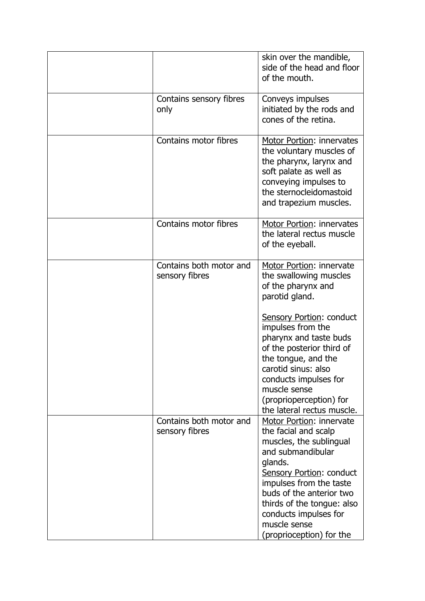|                                           | skin over the mandible,<br>side of the head and floor<br>of the mouth.                                                                                                                                                                                                                            |
|-------------------------------------------|---------------------------------------------------------------------------------------------------------------------------------------------------------------------------------------------------------------------------------------------------------------------------------------------------|
| Contains sensory fibres<br>only           | Conveys impulses<br>initiated by the rods and<br>cones of the retina.                                                                                                                                                                                                                             |
| Contains motor fibres                     | <b>Motor Portion: innervates</b><br>the voluntary muscles of<br>the pharynx, larynx and<br>soft palate as well as<br>conveying impulses to<br>the sternocleidomastoid<br>and trapezium muscles.                                                                                                   |
| Contains motor fibres                     | Motor Portion: innervates<br>the lateral rectus muscle<br>of the eyeball.                                                                                                                                                                                                                         |
| Contains both motor and<br>sensory fibres | Motor Portion: innervate<br>the swallowing muscles<br>of the pharynx and<br>parotid gland.                                                                                                                                                                                                        |
|                                           | <b>Sensory Portion: conduct</b><br>impulses from the<br>pharynx and taste buds<br>of the posterior third of<br>the tongue, and the<br>carotid sinus: also<br>conducts impulses for<br>muscle sense<br>(proprioperception) for<br>the lateral rectus muscle.                                       |
| Contains both motor and<br>sensory fibres | Motor Portion: innervate<br>the facial and scalp<br>muscles, the sublingual<br>and submandibular<br>glands.<br>Sensory Portion: conduct<br>impulses from the taste<br>buds of the anterior two<br>thirds of the tongue: also<br>conducts impulses for<br>muscle sense<br>(proprioception) for the |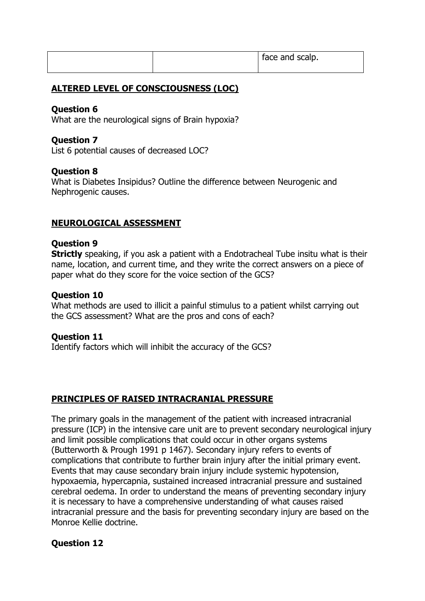|  | tace and scalp. |
|--|-----------------|
|  |                 |

## **ALTERED LEVEL OF CONSCIOUSNESS (LOC)**

## **Question 6**

What are the neurological signs of Brain hypoxia?

#### **Question 7**

List 6 potential causes of decreased LOC?

#### **Question 8**

What is Diabetes Insipidus? Outline the difference between Neurogenic and Nephrogenic causes.

## **NEUROLOGICAL ASSESSMENT**

#### **Question 9**

**Strictly** speaking, if you ask a patient with a Endotracheal Tube insitu what is their name, location, and current time, and they write the correct answers on a piece of paper what do they score for the voice section of the GCS?

#### **Question 10**

What methods are used to illicit a painful stimulus to a patient whilst carrying out the GCS assessment? What are the pros and cons of each?

#### **Question 11**

Identify factors which will inhibit the accuracy of the GCS?

#### **PRINCIPLES OF RAISED INTRACRANIAL PRESSURE**

The primary goals in the management of the patient with increased intracranial pressure (ICP) in the intensive care unit are to prevent secondary neurological injury and limit possible complications that could occur in other organs systems (Butterworth & Prough 1991 p 1467). Secondary injury refers to events of complications that contribute to further brain injury after the initial primary event. Events that may cause secondary brain injury include systemic hypotension, hypoxaemia, hypercapnia, sustained increased intracranial pressure and sustained cerebral oedema. In order to understand the means of preventing secondary injury it is necessary to have a comprehensive understanding of what causes raised intracranial pressure and the basis for preventing secondary injury are based on the Monroe Kellie doctrine.

# **Question 12**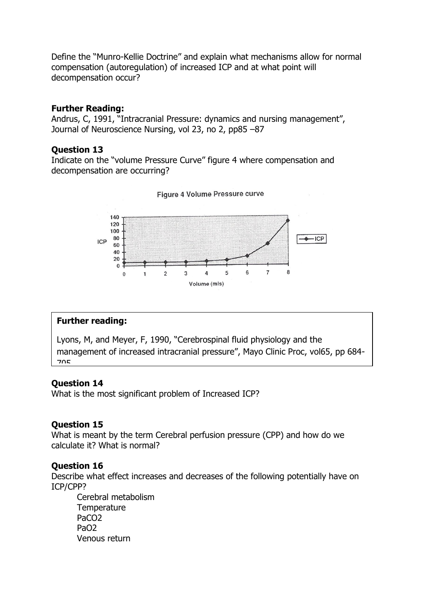Define the "Munro-Kellie Doctrine" and explain what mechanisms allow for normal compensation (autoregulation) of increased ICP and at what point will decompensation occur?

#### **Further Reading:**

Andrus, C, 1991, "Intracranial Pressure: dynamics and nursing management", Journal of Neuroscience Nursing, vol 23, no 2, pp85 –87

#### **Question 13**

Indicate on the "volume Pressure Curve" figure 4 where compensation and decompensation are occurring?





#### **Further reading:**

Lyons, M, and Meyer, F, 1990, "Cerebrospinal fluid physiology and the management of increased intracranial pressure", Mayo Clinic Proc, vol65, pp 684- 705.

#### **Question 14**

What is the most significant problem of Increased ICP?

#### **Question 15**

What is meant by the term Cerebral perfusion pressure (CPP) and how do we calculate it? What is normal?

#### **Question 16**

Describe what effect increases and decreases of the following potentially have on ICP/CPP?

Cerebral metabolism **Temperature** PaCO2 PaO2 Venous return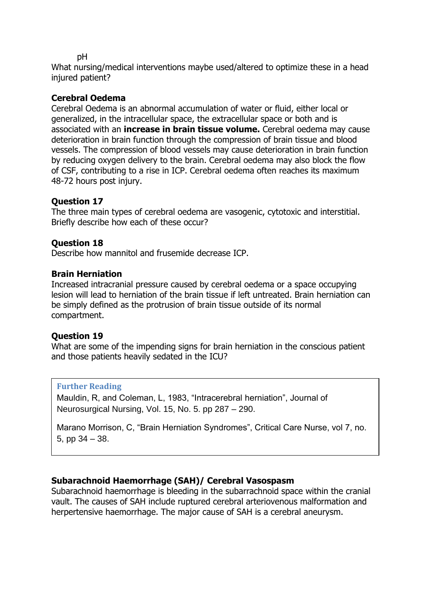pH

What nursing/medical interventions maybe used/altered to optimize these in a head injured patient?

## **Cerebral Oedema**

Cerebral Oedema is an abnormal accumulation of water or fluid, either local or generalized, in the intracellular space, the extracellular space or both and is associated with an **increase in brain tissue volume.** Cerebral oedema may cause deterioration in brain function through the compression of brain tissue and blood vessels. The compression of blood vessels may cause deterioration in brain function by reducing oxygen delivery to the brain. Cerebral oedema may also block the flow of CSF, contributing to a rise in ICP. Cerebral oedema often reaches its maximum 48-72 hours post injury.

## **Question 17**

The three main types of cerebral oedema are vasogenic, cytotoxic and interstitial. Briefly describe how each of these occur?

## **Question 18**

Describe how mannitol and frusemide decrease ICP.

#### **Brain Herniation**

Increased intracranial pressure caused by cerebral oedema or a space occupying lesion will lead to herniation of the brain tissue if left untreated. Brain herniation can be simply defined as the protrusion of brain tissue outside of its normal compartment.

#### **Question 19**

What are some of the impending signs for brain herniation in the conscious patient and those patients heavily sedated in the ICU?

#### **Further Reading**

Mauldin, R, and Coleman, L, 1983, "Intracerebral herniation", Journal of Neurosurgical Nursing, Vol. 15, No. 5. pp 287 – 290.

Marano Morrison, C, "Brain Herniation Syndromes", Critical Care Nurse, vol 7, no. 5, pp 34 – 38.

# **Subarachnoid Haemorrhage (SAH)/ Cerebral Vasospasm**

Subarachnoid haemorrhage is bleeding in the subarrachnoid space within the cranial vault. The causes of SAH include ruptured cerebral arteriovenous malformation and herpertensive haemorrhage. The major cause of SAH is a cerebral aneurysm.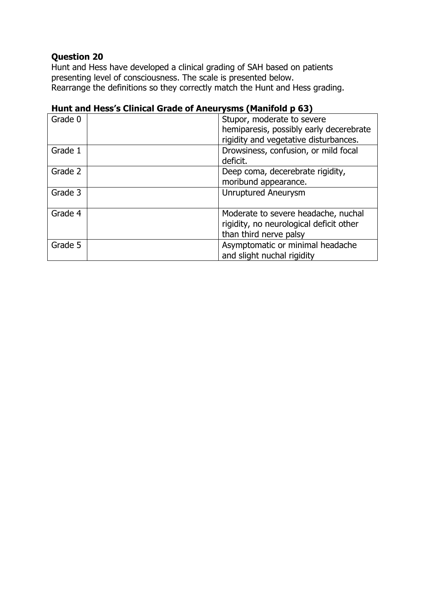Hunt and Hess have developed a clinical grading of SAH based on patients presenting level of consciousness. The scale is presented below. Rearrange the definitions so they correctly match the Hunt and Hess grading.

| Grade 0 | Stupor, moderate to severe<br>hemiparesis, possibly early decerebrate<br>rigidity and vegetative disturbances. |
|---------|----------------------------------------------------------------------------------------------------------------|
| Grade 1 | Drowsiness, confusion, or mild focal<br>deficit.                                                               |
| Grade 2 | Deep coma, decerebrate rigidity,<br>moribund appearance.                                                       |
| Grade 3 | <b>Unruptured Aneurysm</b>                                                                                     |
| Grade 4 | Moderate to severe headache, nuchal<br>rigidity, no neurological deficit other<br>than third nerve palsy       |
| Grade 5 | Asymptomatic or minimal headache<br>and slight nuchal rigidity                                                 |

# **Hunt and Hess's Clinical Grade of Aneurysms (Manifold p 63)**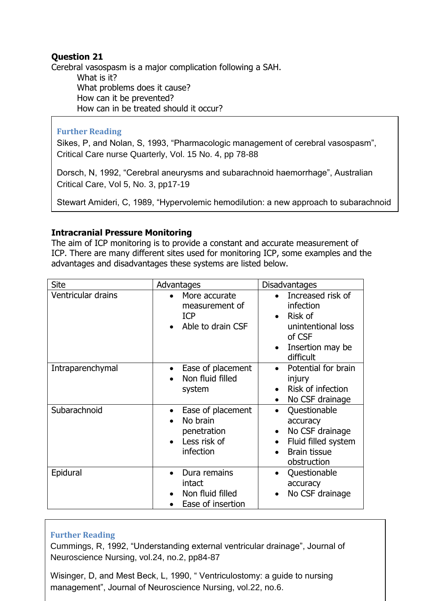Cerebral vasospasm is a major complication following a SAH. What is it? What problems does it cause? How can it be prevented? How can in be treated should it occur?

haemorrhage", Neurologic Care vol. 18, pp590-5977-18, pp590-5977-18, pp590-5977-18, pp590-5977-18, pp590-5977-

## **Further Reading**

Sikes, P, and Nolan, S, 1993, "Pharmacologic management of cerebral vasospasm", Critical Care nurse Quarterly, Vol. 15 No. 4, pp 78-88

Dorsch, N, 1992, "Cerebral aneurysms and subarachnoid haemorrhage", Australian Critical Care, Vol 5, No. 3, pp17-19

Stewart Amideri, C, 1989, "Hypervolemic hemodilution: a new approach to subarachnoid

## **Intracranial Pressure Monitoring**

The aim of ICP monitoring is to provide a constant and accurate measurement of ICP. There are many different sites used for monitoring ICP, some examples and the advantages and disadvantages these systems are listed below.

| <b>Site</b>        | Advantages                                                                   | <b>Disadvantages</b>                                                                                                               |
|--------------------|------------------------------------------------------------------------------|------------------------------------------------------------------------------------------------------------------------------------|
| Ventricular drains | More accurate<br>measurement of<br><b>ICP</b><br>Able to drain CSF           | Increased risk of<br>infection<br>Risk of<br>unintentional loss<br>of CSF<br>Insertion may be<br>$\bullet$<br>difficult            |
| Intraparenchymal   | Ease of placement<br>Non fluid filled<br>system                              | Potential for brain<br>injury<br>Risk of infection<br>No CSF drainage<br>$\bullet$                                                 |
| Subarachnoid       | Ease of placement<br>No brain<br>penetration<br>Less risk of<br>infection    | Questionable<br>accuracy<br>No CSF drainage<br>$\bullet$<br>Fluid filled system<br>$\bullet$<br><b>Brain tissue</b><br>obstruction |
| Epidural           | Dura remains<br>$\bullet$<br>intact<br>Non fluid filled<br>Ease of insertion | Questionable<br>accuracy<br>No CSF drainage                                                                                        |

#### **Further Reading**

Cummings, R, 1992, "Understanding external ventricular drainage", Journal of Neuroscience Nursing, vol.24, no.2, pp84-87

Wisinger, D, and Mest Beck, L, 1990, " Ventriculostomy: a guide to nursing management", Journal of Neuroscience Nursing, vol.22, no.6.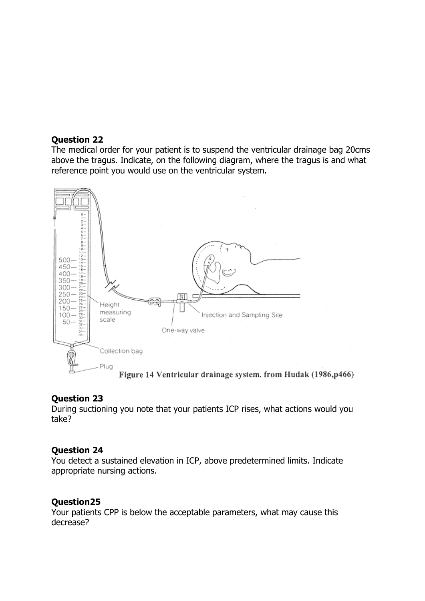The medical order for your patient is to suspend the ventricular drainage bag 20cms above the tragus. Indicate, on the following diagram, where the tragus is and what reference point you would use on the ventricular system.



#### **Question 23**

During suctioning you note that your patients ICP rises, what actions would you take?

#### **Question 24**

You detect a sustained elevation in ICP, above predetermined limits. Indicate appropriate nursing actions.

#### **Question25**

Your patients CPP is below the acceptable parameters, what may cause this decrease?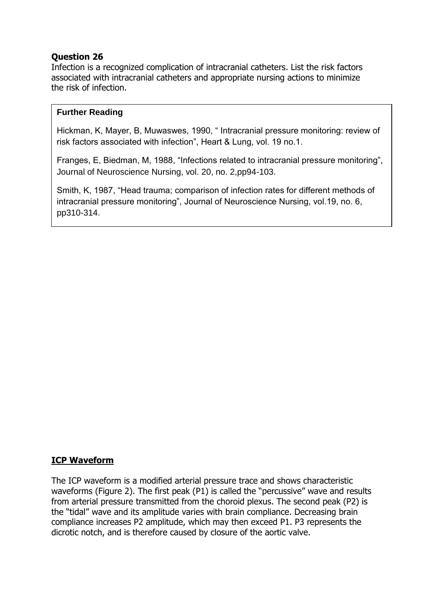Infection is a recognized complication of intracranial catheters. List the risk factors associated with intracranial catheters and appropriate nursing actions to minimize the risk of infection.

#### **Further Reading**

Hickman, K, Mayer, B, Muwaswes, 1990, " Intracranial pressure monitoring: review of risk factors associated with infection", Heart & Lung, vol. 19 no.1.

Franges, E, Biedman, M, 1988, "Infections related to intracranial pressure monitoring", Journal of Neuroscience Nursing, vol. 20, no. 2,pp94-103.

Smith, K, 1987, "Head trauma; comparison of infection rates for different methods of intracranial pressure monitoring", Journal of Neuroscience Nursing, vol.19, no. 6, pp310-314.

#### **ICP Waveform**

The ICP waveform is a modified arterial pressure trace and shows characteristic waveforms (Figure 2). The first peak (P1) is called the "percussive" wave and results from arterial pressure transmitted from the choroid plexus. The second peak (P2) is the "tidal" wave and its amplitude varies with brain compliance. Decreasing brain compliance increases P2 amplitude, which may then exceed P1. P3 represents the dicrotic notch, and is therefore caused by closure of the aortic valve.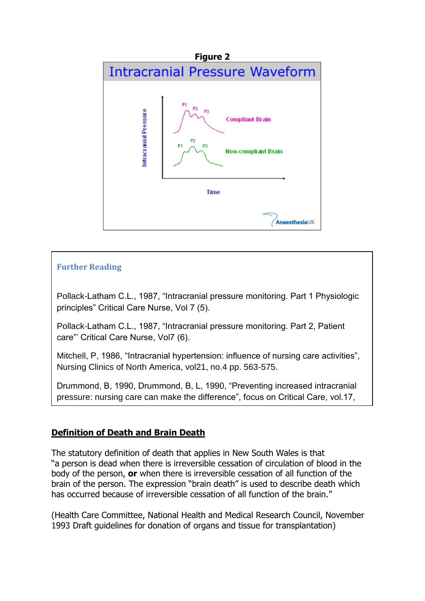

## **Further Reading**

no.<br>2, pp. 122. pp. 122. pp. 122. pp. 122. pp. 122. pp. 122. pp. 122. pp. 122. pp. 122. pp. 122. pp. 122. pp. 122

Pollack-Latham C.L., 1987, "Intracranial pressure monitoring. Part 1 Physiologic principles" Critical Care Nurse, Vol 7 (5).

Pollack-Latham C.L., 1987, "Intracranial pressure monitoring. Part 2, Patient care"' Critical Care Nurse, Vol7 (6).

Mitchell, P, 1986, "Intracranial hypertension: influence of nursing care activities", Nursing Clinics of North America, vol21, no.4 pp. 563-575.

Drummond, B, 1990, Drummond, B, L, 1990, "Preventing increased intracranial pressure: nursing care can make the difference", focus on Critical Care, vol.17,

# **Definition of Death and Brain Death**

The statutory definition of death that applies in New South Wales is that "a person is dead when there is irreversible cessation of circulation of blood in the body of the person, **or** when there is irreversible cessation of all function of the brain of the person. The expression "brain death" is used to describe death which has occurred because of irreversible cessation of all function of the brain."

(Health Care Committee, National Health and Medical Research Council, November 1993 Draft guidelines for donation of organs and tissue for transplantation)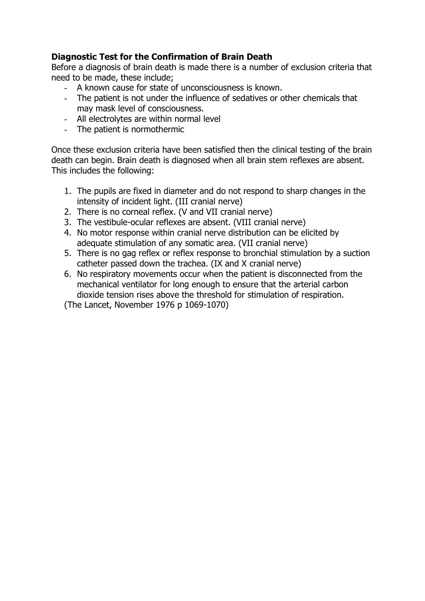# **Diagnostic Test for the Confirmation of Brain Death**

Before a diagnosis of brain death is made there is a number of exclusion criteria that need to be made, these include;

- A known cause for state of unconsciousness is known.
- The patient is not under the influence of sedatives or other chemicals that may mask level of consciousness.
- All electrolytes are within normal level
- The patient is normothermic

Once these exclusion criteria have been satisfied then the clinical testing of the brain death can begin. Brain death is diagnosed when all brain stem reflexes are absent. This includes the following:

- 1. The pupils are fixed in diameter and do not respond to sharp changes in the intensity of incident light. (III cranial nerve)
- 2. There is no corneal reflex. (V and VII cranial nerve)
- 3. The vestibule-ocular reflexes are absent. (VIII cranial nerve)
- 4. No motor response within cranial nerve distribution can be elicited by adequate stimulation of any somatic area. (VII cranial nerve)
- 5. There is no gag reflex or reflex response to bronchial stimulation by a suction catheter passed down the trachea. (IX and X cranial nerve)
- 6. No respiratory movements occur when the patient is disconnected from the mechanical ventilator for long enough to ensure that the arterial carbon dioxide tension rises above the threshold for stimulation of respiration.

(The Lancet, November 1976 p 1069-1070)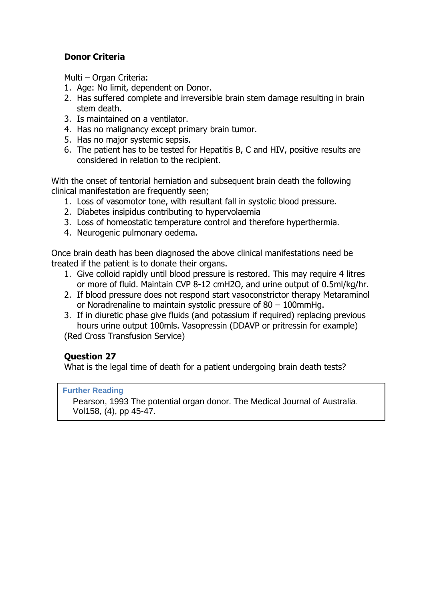# **Donor Criteria**

Multi – Organ Criteria:

- 1. Age: No limit, dependent on Donor.
- 2. Has suffered complete and irreversible brain stem damage resulting in brain stem death.
- 3. Is maintained on a ventilator.
- 4. Has no malignancy except primary brain tumor.
- 5. Has no major systemic sepsis.
- 6. The patient has to be tested for Hepatitis B, C and HIV, positive results are considered in relation to the recipient.

With the onset of tentorial herniation and subsequent brain death the following clinical manifestation are frequently seen;

- 1. Loss of vasomotor tone, with resultant fall in systolic blood pressure.
- 2. Diabetes insipidus contributing to hypervolaemia
- 3. Loss of homeostatic temperature control and therefore hyperthermia.
- 4. Neurogenic pulmonary oedema.

Once brain death has been diagnosed the above clinical manifestations need be treated if the patient is to donate their organs.

- 1. Give colloid rapidly until blood pressure is restored. This may require 4 litres or more of fluid. Maintain CVP 8-12 cmH2O, and urine output of 0.5ml/kg/hr.
- 2. If blood pressure does not respond start vasoconstrictor therapy Metaraminol or Noradrenaline to maintain systolic pressure of 80 – 100mmHg.
- 3. If in diuretic phase give fluids (and potassium if required) replacing previous hours urine output 100mls. Vasopressin (DDAVP or pritressin for example)

(Red Cross Transfusion Service)

# **Question 27**

What is the legal time of death for a patient undergoing brain death tests?

#### **Further Reading**

Pearson, 1993 The potential organ donor. The Medical Journal of Australia. Vol158, (4), pp 45-47.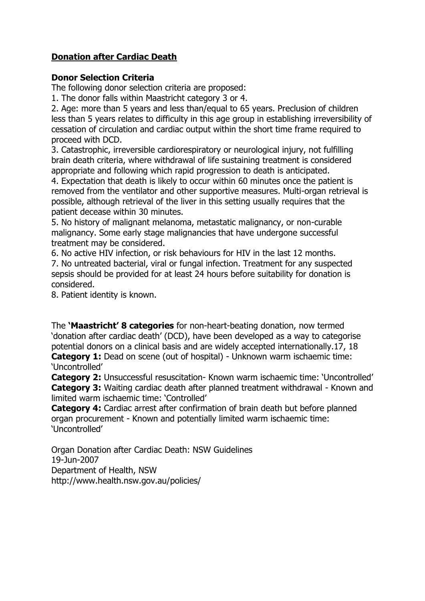# **Donation after Cardiac Death**

#### **Donor Selection Criteria**

The following donor selection criteria are proposed:

1. The donor falls within Maastricht category 3 or 4.

2. Age: more than 5 years and less than/equal to 65 years. Preclusion of children less than 5 years relates to difficulty in this age group in establishing irreversibility of cessation of circulation and cardiac output within the short time frame required to proceed with DCD.

3. Catastrophic, irreversible cardiorespiratory or neurological injury, not fulfilling brain death criteria, where withdrawal of life sustaining treatment is considered appropriate and following which rapid progression to death is anticipated.

4. Expectation that death is likely to occur within 60 minutes once the patient is removed from the ventilator and other supportive measures. Multi-organ retrieval is possible, although retrieval of the liver in this setting usually requires that the patient decease within 30 minutes.

5. No history of malignant melanoma, metastatic malignancy, or non-curable malignancy. Some early stage malignancies that have undergone successful treatment may be considered.

6. No active HIV infection, or risk behaviours for HIV in the last 12 months. 7. No untreated bacterial, viral or fungal infection. Treatment for any suspected sepsis should be provided for at least 24 hours before suitability for donation is considered.

8. Patient identity is known.

The **'Maastricht' 8 categories** for non-heart-beating donation, now termed 'donation after cardiac death' (DCD), have been developed as a way to categorise potential donors on a clinical basis and are widely accepted internationally.17, 18 **Category 1:** Dead on scene (out of hospital) - Unknown warm ischaemic time: 'Uncontrolled'

**Category 2:** Unsuccessful resuscitation- Known warm ischaemic time: 'Uncontrolled' **Category 3:** Waiting cardiac death after planned treatment withdrawal - Known and limited warm ischaemic time: 'Controlled'

**Category 4:** Cardiac arrest after confirmation of brain death but before planned organ procurement - Known and potentially limited warm ischaemic time: 'Uncontrolled'

Organ Donation after Cardiac Death: NSW Guidelines 19-Jun-2007 Department of Health, NSW http://www.health.nsw.gov.au/policies/